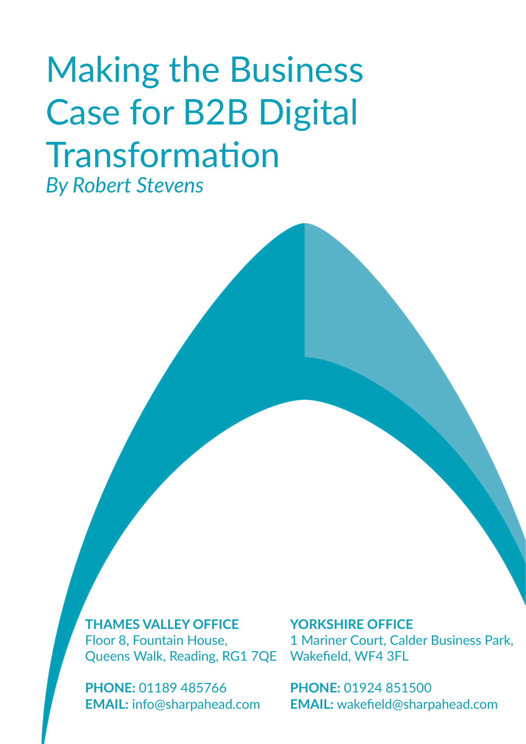### Making the Business Case for B2B Digital Transformation *By Robert Stevens*

Queens Walk, Reading, RG1 7QE Wakefield, WF4 3FL **THAMES VALLEY OFFICE** Floor 8, Fountain House,

**PHONE:** 01189 485766 **EMAIL:** info@sharpahead.com **YORKSHIRE OFFICE** 1 Mariner Court, Calder Business Park,

**PHONE:** 01924 851500 **EMAIL:** wakefield@sharpahead.com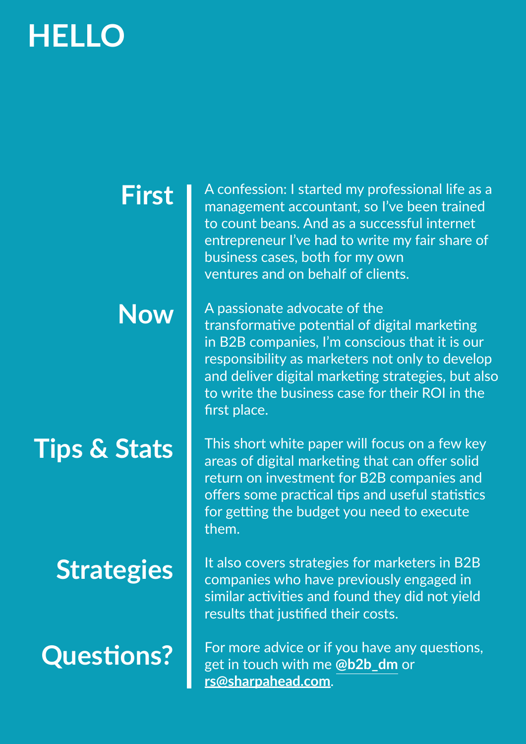### **HELLO**

### **First**

### **Now**

### **Tips & Stats**

### **Strategies**

**Questions?**

A confession: I started my professional life as a management accountant, so I've been trained to count beans. And as a successful internet entrepreneur I've had to write my fair share of business cases, both for my own ventures and on behalf of clients.

A passionate advocate of the transformative potential of digital marketing in B2B companies, I'm conscious that it is our responsibility as marketers not only to develop and deliver digital marketing strategies, but also to write the business case for their ROI in the first place.

This short white paper will focus on a few key areas of digital marketing that can offer solid return on investment for B2B companies and offers some practical tips and useful statistics for getting the budget you need to execute them.

It also covers strategies for marketers in B2B companies who have previously engaged in similar activities and found they did not yield results that justified their costs.

For more advice or if you have any questions, get in touch with me **[@b2b\\_dm](https://twitter.com/b2b_dm)** or **[rs@sharpahead.com](mailto:rs%40sharpahead.com?subject=)**.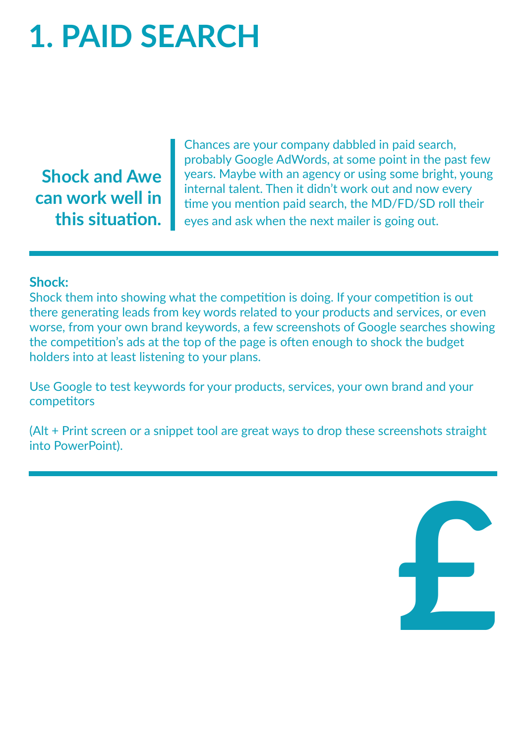# **1. PAID SEARCH**

**Shock and Awe can work well in this situation.**

Chances are your company dabbled in paid search, probably Google AdWords, at some point in the past few years. Maybe with an agency or using some bright, young internal talent. Then it didn't work out and now every time you mention paid search, the MD/FD/SD roll their eyes and ask when the next mailer is going out.

#### **Shock:**

Shock them into showing what the competition is doing. If your competition is out there generating leads from key words related to your products and services, or even worse, from your own brand keywords, a few screenshots of Google searches showing the competition's ads at the top of the page is often enough to shock the budget holders into at least listening to your plans.

Use Google to test keywords for your products, services, your own brand and your competitors

(Alt + Print screen or a snippet tool are great ways to drop these screenshots straight into PowerPoint).

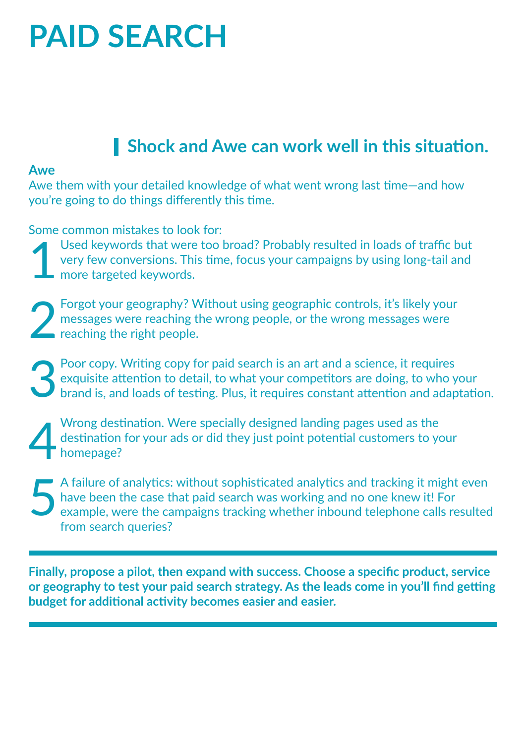## **PAID SEARCH**

### **Shock and Awe can work well in this situation.**

#### **Awe**

Awe them with your detailed knowledge of what went wrong last time—and how you're going to do things differently this time.

Some common mistakes to look for:

Used keywords that were too broad? Probably resulted in loads of traffic but very few conversions. This time, focus your campaigns by using long-tail and more targeted keywords. 1

Forgot your geography? Without using geographic controls, it's likely your messages were reaching the wrong people, or the wrong messages were reaching the right people. 2

Poor copy. Writing copy for paid search is an art and a science, it requires exquisite attention to detail, to what your competitors are doing, to who your brand is, and loads of testing. Plus, it requires constant attention and adaptation. 3

Wrong destination. Were specially designed landing pages used as the destination for your ads or did they just point potential customers to your homepage? 4

A failure of analytics: without sophisticated analytics and tracking it might even have been the case that paid search was working and no one knew it! For example, were the campaigns tracking whether inbound telephone calls resulted from search queries? 5

**Finally, propose a pilot, then expand with success. Choose a specific product, service or geography to test your paid search strategy. As the leads come in you'll find getting budget for additional activity becomes easier and easier.**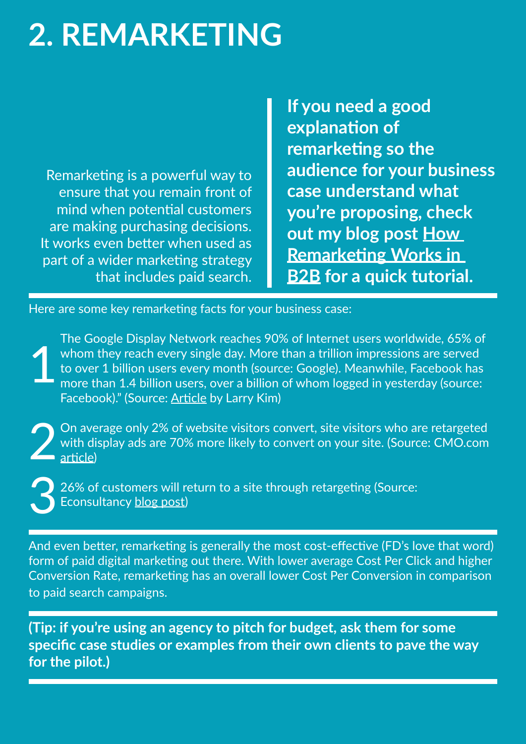### **2. REMARKETING**

Remarketing is a powerful way to ensure that you remain front of mind when potential customers are making purchasing decisions. It works even better when used as part of a wider marketing strategy that includes paid search. **If you need a good explanation of remarketing so the audience for your business case understand what you're proposing, check out my blog post [How](https://www.sharpahead.com/how-remarketing-works-in-b2b/)  [Remarketing Works in](https://www.sharpahead.com/how-remarketing-works-in-b2b/)  [B2B](https://www.sharpahead.com/how-remarketing-works-in-b2b/) for a quick tutorial.**

Here are some key remarketing facts for your business case:

The Google Display Network reaches 90% of Internet users worldwide, 65% of whom they reach every single day. More than a trillion impressions are served to over 1 billion users every month (source: Google). Meanwhile, Facebook has more than 1.4 billion users, over a billion of whom logged in yesterday (source: Facebook)." (Source: [Article](https://www.linkedin.com/pulse/10-remarketing-facts-make-you-rethink-your-entire-ppc-larry-kim) by Larry Kim) 1

On average only 2% of website visitors convert, site visitors who are retargeted with display ads are 70% more likely to convert on your site. (Source: CMO.com [article](https://www.cmo.com/articles/2013/11/20/15_Stats_Retargeting.html)) 2

26% of customers will return to a site through retargeting (Source: Econsultancy [blog post](https://econsultancy.com/blog/64099-what-is-retargeting-and-why-do-you-need-it#i.1fxd1bep4ofi2r)) 3

And even better, remarketing is generally the most cost-effective (FD's love that word) form of paid digital marketing out there. With lower average Cost Per Click and higher Conversion Rate, remarketing has an overall lower Cost Per Conversion in comparison to paid search campaigns.

**(Tip: if you're using an agency to pitch for budget, ask them for some specific case studies or examples from their own clients to pave the way for the pilot.)**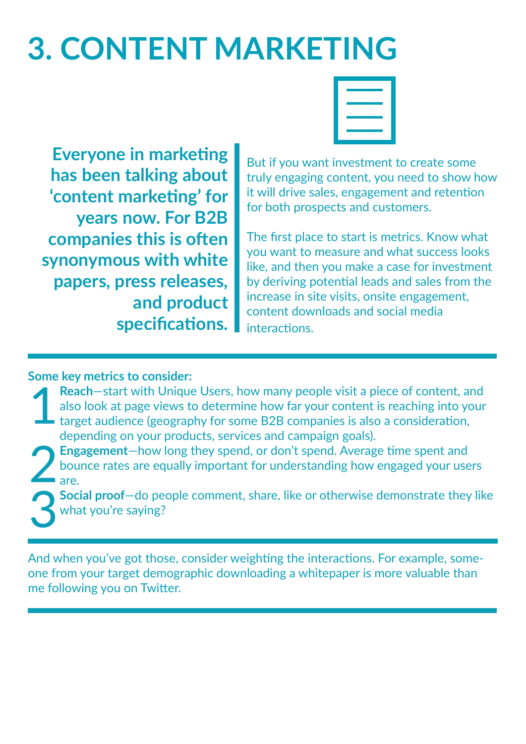# **3. CONTENT MARKETING**



**Everyone in marketing has been talking about 'content marketing' for years now. For B2B companies this is often synonymous with white papers, press releases, and product specifications.**

But if you want investment to create some truly engaging content, you need to show how it will drive sales, engagement and retention for both prospects and customers.

The first place to start is metrics. Know what you want to measure and what success looks like, and then you make a case for investment by deriving potential leads and sales from the increase in site visits, onsite engagement, content downloads and social media interactions.

#### **Some key metrics to consider:**

- **Reach**—start with Unique Users, how many people visit a piece of content, and also look at page views to determine how far your content is reaching into your target audience (geography for some B2B companies is also a consideration, depending on your products, services and campaign goals). 1
- **Engagement**—how long they spend, or don't spend. Average time spent and bounce rates are equally important for understanding how engaged your users are. 2 3
	- **Social proof**—do people comment, share, like or otherwise demonstrate they like what you're saying?

And when you've got those, consider weighting the interactions. For example, someone from your target demographic downloading a whitepaper is more valuable than me following you on Twitter.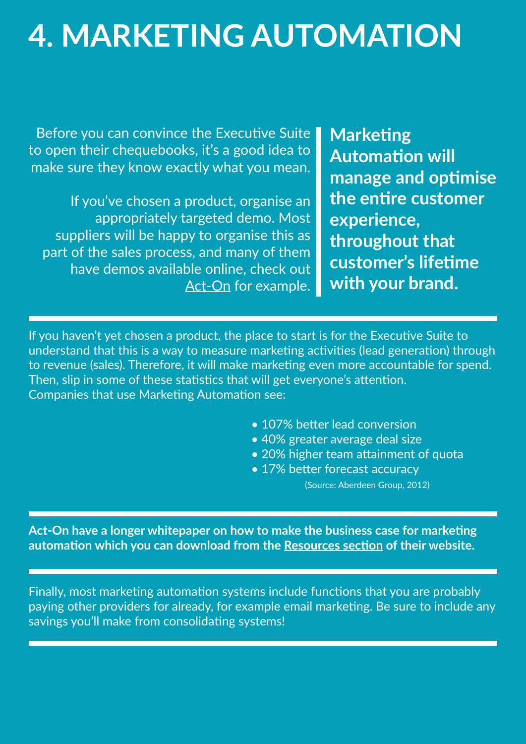## **4. MARKETING AUTOMATION**

Before you can convince the Executive Suite to open their chequebooks, it's a good idea to make sure they know exactly what you mean.

If you've chosen a product, organise an appropriately targeted demo. Most suppliers will be happy to organise this as part of the sales process, and many of them have demos available online, check out [Act-On](https://act-on.com/resources/take-a-tour-of-act-on) for example.

**Marketing Automation will manage and optimise the entire customer experience, throughout that customer's lifetime with your brand.**

If you haven't yet chosen a product, the place to start is for the Executive Suite to understand that this is a way to measure marketing activities (lead generation) through to revenue (sales). Therefore, it will make marketing even more accountable for spend. Then, slip in some of these statistics that will get everyone's attention. Companies that use Marketing Automation see:

- 107% better lead conversion
- 40% greater average deal size
- 20% higher team attainment of quota
- 17% better forecast accuracy

(Source: Aberdeen Group, 2012)

**Act-On have a longer whitepaper on how to make the business case for marketing automation which you can download from the [Resources section](https://www.act-on.com/learn/resources/type/) of their website.**

Finally, most marketing automation systems include functions that you are probably paying other providers for already, for example email marketing. Be sure to include any savings you'll make from consolidating systems!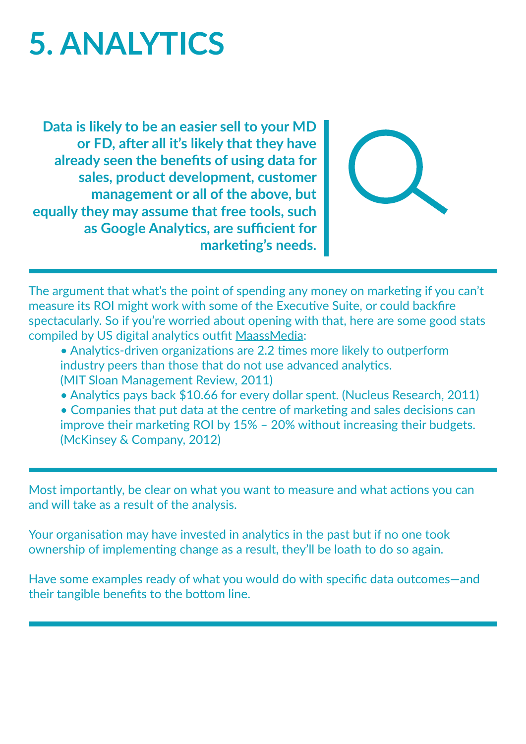## **5. ANALYTICS**

**Data is likely to be an easier sell to your MD or FD, after all it's likely that they have already seen the benefits of using data for sales, product development, customer management or all of the above, but equally they may assume that free tools, such as Google Analytics, are sufficient for marketing's needs.**



The argument that what's the point of spending any money on marketing if you can't measure its ROI might work with some of the Executive Suite, or could backfire spectacularly. So if you're worried about opening with that, here are some good stats compiled by US digital analytics outfit [MaassMedia](http://www.maassmedia.com/):

- Analytics-driven organizations are 2.2 times more likely to outperform industry peers than those that do not use advanced analytics. (MIT Sloan Management Review, 2011)
- Analytics pays back \$10.66 for every dollar spent. (Nucleus Research, 2011)

• Companies that put data at the centre of marketing and sales decisions can improve their marketing ROI by 15% – 20% without increasing their budgets. (McKinsey & Company, 2012)

Most importantly, be clear on what you want to measure and what actions you can and will take as a result of the analysis.

Your organisation may have invested in analytics in the past but if no one took ownership of implementing change as a result, they'll be loath to do so again.

Have some examples ready of what you would do with specific data outcomes—and their tangible benefits to the bottom line.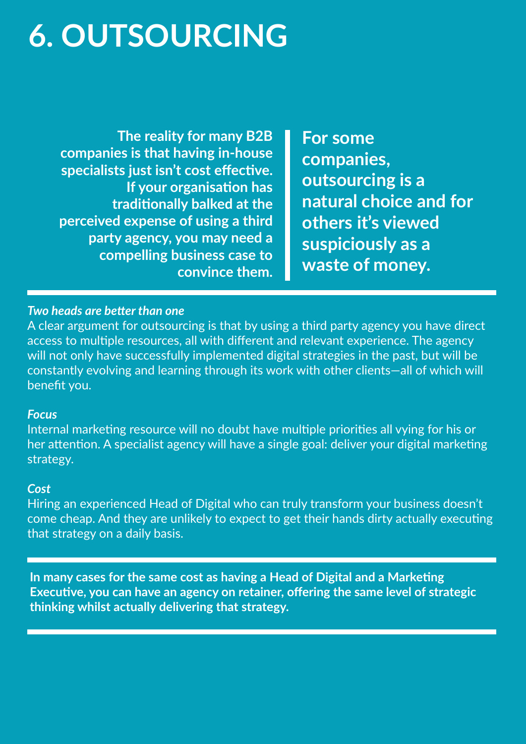## **6. OUTSOURCING**

**The reality for many B2B companies is that having in-house specialists just isn't cost effective. If your organisation has traditionally balked at the perceived expense of using a third party agency, you may need a compelling business case to convince them.**

**For some companies, outsourcing is a natural choice and for others it's viewed suspiciously as a waste of money.**

#### *Two heads are better than one*

A clear argument for outsourcing is that by using a third party agency you have direct access to multiple resources, all with different and relevant experience. The agency will not only have successfully implemented digital strategies in the past, but will be constantly evolving and learning through its work with other clients—all of which will benefit you.

#### *Focus*

Internal marketing resource will no doubt have multiple priorities all vying for his or her attention. A specialist agency will have a single goal: deliver your digital marketing strategy.

#### *Cost*

Hiring an experienced Head of Digital who can truly transform your business doesn't come cheap. And they are unlikely to expect to get their hands dirty actually executing that strategy on a daily basis.

**In many cases for the same cost as having a Head of Digital and a Marketing Executive, you can have an agency on retainer, offering the same level of strategic thinking whilst actually delivering that strategy.**